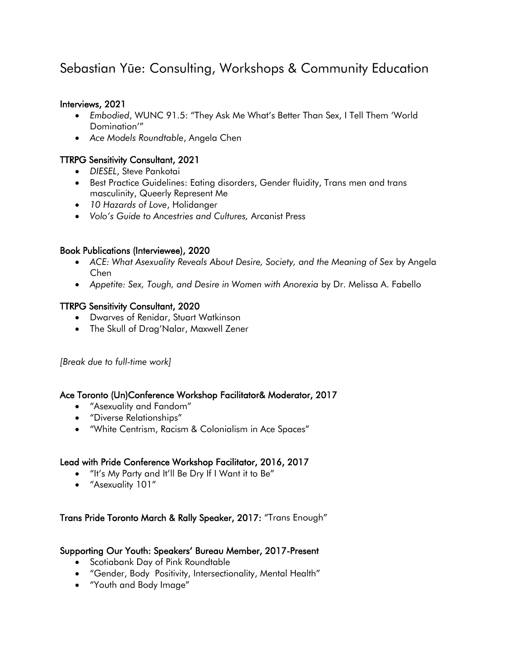# Sebastian Yūe: Consulting, Workshops & Community Education

## Interviews, 2021

- *Embodied*, WUNC 91.5: "They Ask Me What's Better Than Sex, I Tell Them 'World Domination'"
- *Ace Models Roundtable*, Angela Chen

# TTRPG Sensitivity Consultant, 2021

- *DIESEL*, Steve Pankotai
- Best Practice Guidelines: Eating disorders, Gender fluidity, Trans men and trans masculinity, Queerly Represent Me
- *10 Hazards of Love*, Holidanger
- *Volo's Guide to Ancestries and Cultures,* Arcanist Press

## Book Publications (Interviewee), 2020

- *ACE: What Asexuality Reveals About Desire, Society, and the Meaning of Sex* by Angela Chen
- *Appetite: Sex, Tough, and Desire in Women with Anorexia* by Dr. Melissa A. Fabello

## TTRPG Sensitivity Consultant, 2020

- Dwarves of Renidar, Stuart Watkinson
- The Skull of Drag'Nalar, Maxwell Zener

*[Break due to full-time work]*

#### Ace Toronto (Un)Conference Workshop Facilitator& Moderator, 2017

- "Asexuality and Fandom"
- "Diverse Relationships"
- "White Centrism, Racism & Colonialism in Ace Spaces"

# Lead with Pride Conference Workshop Facilitator, 2016, 2017

- "It's My Party and It'll Be Dry If I Want it to Be"
- "Asexuality 101"

# Trans Pride Toronto March & Rally Speaker, 2017: "Trans Enough"

#### Supporting Our Youth: Speakers' Bureau Member, 2017-Present

- Scotiabank Day of Pink Roundtable
- "Gender, Body Positivity, Intersectionality, Mental Health"
- "Youth and Body Image"